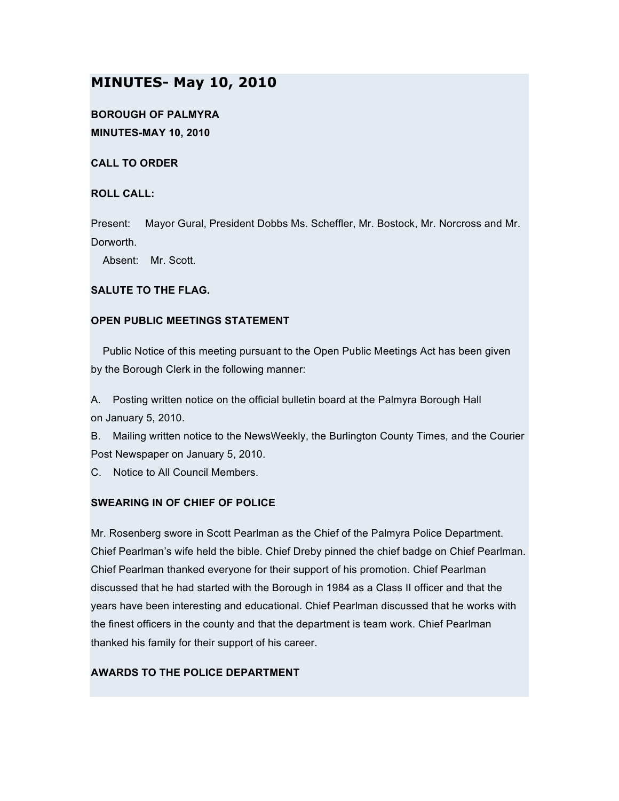# **MINUTES- May 10, 2010**

**BOROUGH OF PALMYRA MINUTES-MAY 10, 2010**

**CALL TO ORDER**

## **ROLL CALL:**

Present: Mayor Gural, President Dobbs Ms. Scheffler, Mr. Bostock, Mr. Norcross and Mr. Dorworth.

Absent: Mr. Scott.

## **SALUTE TO THE FLAG.**

## **OPEN PUBLIC MEETINGS STATEMENT**

Public Notice of this meeting pursuant to the Open Public Meetings Act has been given by the Borough Clerk in the following manner:

A. Posting written notice on the official bulletin board at the Palmyra Borough Hall on January 5, 2010.

B. Mailing written notice to the NewsWeekly, the Burlington County Times, and the Courier Post Newspaper on January 5, 2010.

C. Notice to All Council Members.

# **SWEARING IN OF CHIEF OF POLICE**

Mr. Rosenberg swore in Scott Pearlman as the Chief of the Palmyra Police Department. Chief Pearlman's wife held the bible. Chief Dreby pinned the chief badge on Chief Pearlman. Chief Pearlman thanked everyone for their support of his promotion. Chief Pearlman discussed that he had started with the Borough in 1984 as a Class II officer and that the years have been interesting and educational. Chief Pearlman discussed that he works with the finest officers in the county and that the department is team work. Chief Pearlman thanked his family for their support of his career.

# **AWARDS TO THE POLICE DEPARTMENT**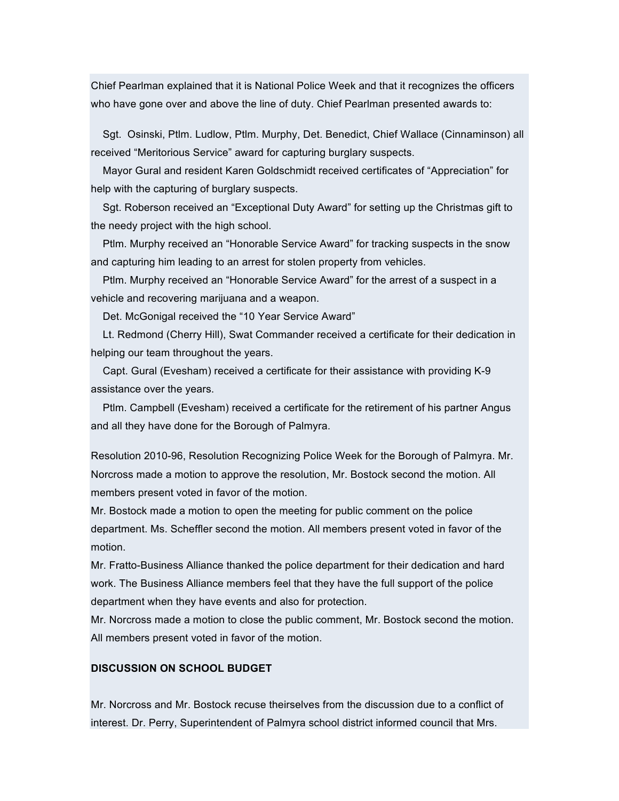Chief Pearlman explained that it is National Police Week and that it recognizes the officers who have gone over and above the line of duty. Chief Pearlman presented awards to:

Sgt. Osinski, Ptlm. Ludlow, Ptlm. Murphy, Det. Benedict, Chief Wallace (Cinnaminson) all received "Meritorious Service" award for capturing burglary suspects.

Mayor Gural and resident Karen Goldschmidt received certificates of "Appreciation" for help with the capturing of burglary suspects.

Sgt. Roberson received an "Exceptional Duty Award" for setting up the Christmas gift to the needy project with the high school.

Ptlm. Murphy received an "Honorable Service Award" for tracking suspects in the snow and capturing him leading to an arrest for stolen property from vehicles.

Ptlm. Murphy received an "Honorable Service Award" for the arrest of a suspect in a vehicle and recovering marijuana and a weapon.

Det. McGonigal received the "10 Year Service Award"

Lt. Redmond (Cherry Hill), Swat Commander received a certificate for their dedication in helping our team throughout the years.

Capt. Gural (Evesham) received a certificate for their assistance with providing K-9 assistance over the years.

Ptlm. Campbell (Evesham) received a certificate for the retirement of his partner Angus and all they have done for the Borough of Palmyra.

Resolution 2010-96, Resolution Recognizing Police Week for the Borough of Palmyra. Mr. Norcross made a motion to approve the resolution, Mr. Bostock second the motion. All members present voted in favor of the motion.

Mr. Bostock made a motion to open the meeting for public comment on the police department. Ms. Scheffler second the motion. All members present voted in favor of the motion.

Mr. Fratto-Business Alliance thanked the police department for their dedication and hard work. The Business Alliance members feel that they have the full support of the police department when they have events and also for protection.

Mr. Norcross made a motion to close the public comment, Mr. Bostock second the motion. All members present voted in favor of the motion.

## **DISCUSSION ON SCHOOL BUDGET**

Mr. Norcross and Mr. Bostock recuse theirselves from the discussion due to a conflict of interest. Dr. Perry, Superintendent of Palmyra school district informed council that Mrs.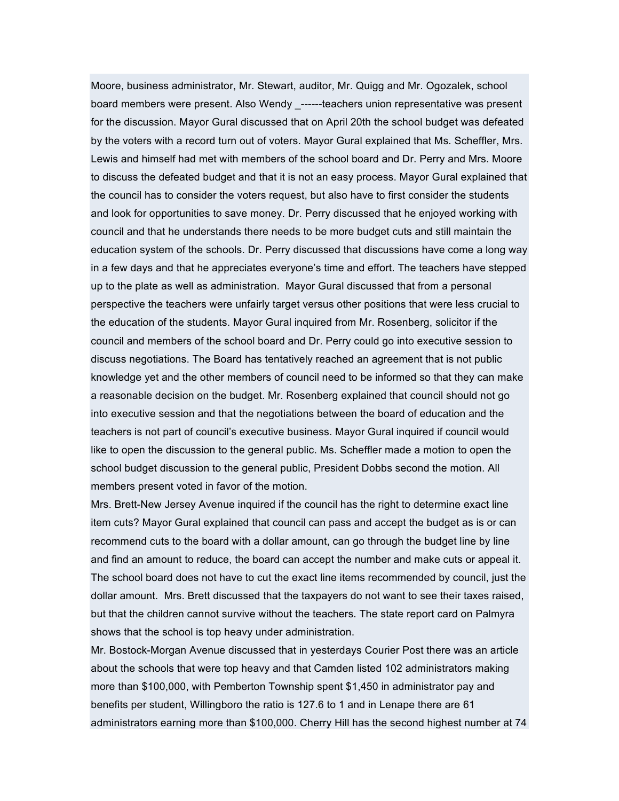Moore, business administrator, Mr. Stewart, auditor, Mr. Quigg and Mr. Ogozalek, school board members were present. Also Wendy \_------teachers union representative was present for the discussion. Mayor Gural discussed that on April 20th the school budget was defeated by the voters with a record turn out of voters. Mayor Gural explained that Ms. Scheffler, Mrs. Lewis and himself had met with members of the school board and Dr. Perry and Mrs. Moore to discuss the defeated budget and that it is not an easy process. Mayor Gural explained that the council has to consider the voters request, but also have to first consider the students and look for opportunities to save money. Dr. Perry discussed that he enjoyed working with council and that he understands there needs to be more budget cuts and still maintain the education system of the schools. Dr. Perry discussed that discussions have come a long way in a few days and that he appreciates everyone's time and effort. The teachers have stepped up to the plate as well as administration. Mayor Gural discussed that from a personal perspective the teachers were unfairly target versus other positions that were less crucial to the education of the students. Mayor Gural inquired from Mr. Rosenberg, solicitor if the council and members of the school board and Dr. Perry could go into executive session to discuss negotiations. The Board has tentatively reached an agreement that is not public knowledge yet and the other members of council need to be informed so that they can make a reasonable decision on the budget. Mr. Rosenberg explained that council should not go into executive session and that the negotiations between the board of education and the teachers is not part of council's executive business. Mayor Gural inquired if council would like to open the discussion to the general public. Ms. Scheffler made a motion to open the school budget discussion to the general public, President Dobbs second the motion. All members present voted in favor of the motion.

Mrs. Brett-New Jersey Avenue inquired if the council has the right to determine exact line item cuts? Mayor Gural explained that council can pass and accept the budget as is or can recommend cuts to the board with a dollar amount, can go through the budget line by line and find an amount to reduce, the board can accept the number and make cuts or appeal it. The school board does not have to cut the exact line items recommended by council, just the dollar amount. Mrs. Brett discussed that the taxpayers do not want to see their taxes raised, but that the children cannot survive without the teachers. The state report card on Palmyra shows that the school is top heavy under administration.

Mr. Bostock-Morgan Avenue discussed that in yesterdays Courier Post there was an article about the schools that were top heavy and that Camden listed 102 administrators making more than \$100,000, with Pemberton Township spent \$1,450 in administrator pay and benefits per student, Willingboro the ratio is 127.6 to 1 and in Lenape there are 61 administrators earning more than \$100,000. Cherry Hill has the second highest number at 74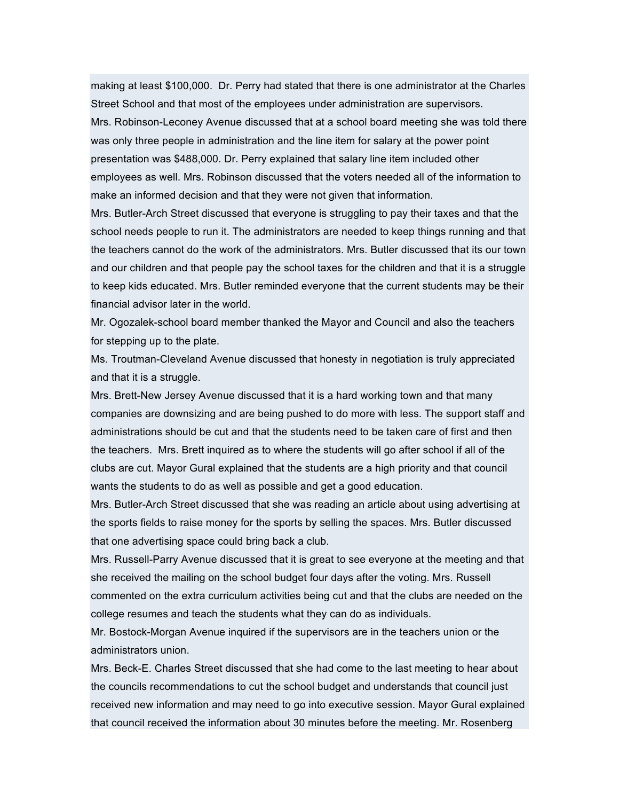making at least \$100,000. Dr. Perry had stated that there is one administrator at the Charles Street School and that most of the employees under administration are supervisors. Mrs. Robinson-Leconey Avenue discussed that at a school board meeting she was told there was only three people in administration and the line item for salary at the power point presentation was \$488,000. Dr. Perry explained that salary line item included other employees as well. Mrs. Robinson discussed that the voters needed all of the information to make an informed decision and that they were not given that information.

Mrs. Butler-Arch Street discussed that everyone is struggling to pay their taxes and that the school needs people to run it. The administrators are needed to keep things running and that the teachers cannot do the work of the administrators. Mrs. Butler discussed that its our town and our children and that people pay the school taxes for the children and that it is a struggle to keep kids educated. Mrs. Butler reminded everyone that the current students may be their financial advisor later in the world.

Mr. Ogozalek-school board member thanked the Mayor and Council and also the teachers for stepping up to the plate.

Ms. Troutman-Cleveland Avenue discussed that honesty in negotiation is truly appreciated and that it is a struggle.

Mrs. Brett-New Jersey Avenue discussed that it is a hard working town and that many companies are downsizing and are being pushed to do more with less. The support staff and administrations should be cut and that the students need to be taken care of first and then the teachers. Mrs. Brett inquired as to where the students will go after school if all of the clubs are cut. Mayor Gural explained that the students are a high priority and that council wants the students to do as well as possible and get a good education.

Mrs. Butler-Arch Street discussed that she was reading an article about using advertising at the sports fields to raise money for the sports by selling the spaces. Mrs. Butler discussed that one advertising space could bring back a club.

Mrs. Russell-Parry Avenue discussed that it is great to see everyone at the meeting and that she received the mailing on the school budget four days after the voting. Mrs. Russell commented on the extra curriculum activities being cut and that the clubs are needed on the college resumes and teach the students what they can do as individuals.

Mr. Bostock-Morgan Avenue inquired if the supervisors are in the teachers union or the administrators union.

Mrs. Beck-E. Charles Street discussed that she had come to the last meeting to hear about the councils recommendations to cut the school budget and understands that council just received new information and may need to go into executive session. Mayor Gural explained that council received the information about 30 minutes before the meeting. Mr. Rosenberg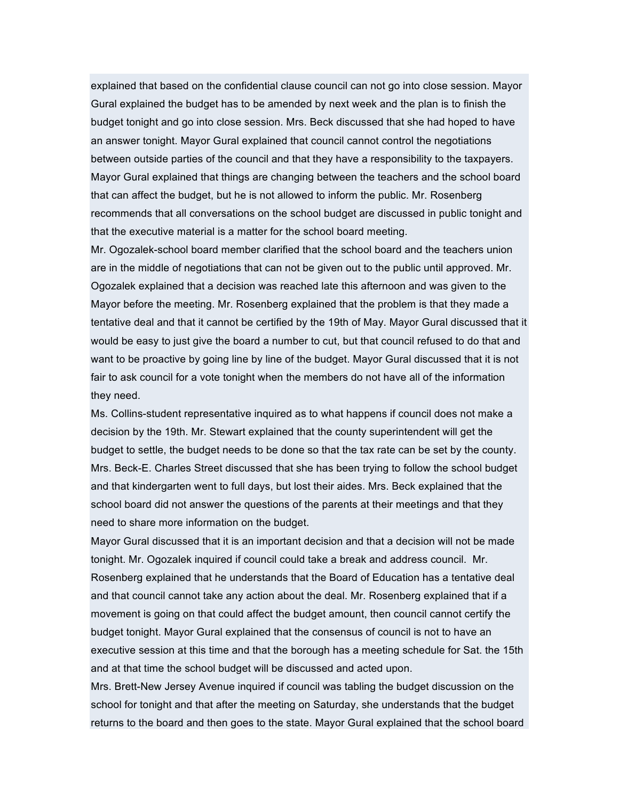explained that based on the confidential clause council can not go into close session. Mayor Gural explained the budget has to be amended by next week and the plan is to finish the budget tonight and go into close session. Mrs. Beck discussed that she had hoped to have an answer tonight. Mayor Gural explained that council cannot control the negotiations between outside parties of the council and that they have a responsibility to the taxpayers. Mayor Gural explained that things are changing between the teachers and the school board that can affect the budget, but he is not allowed to inform the public. Mr. Rosenberg recommends that all conversations on the school budget are discussed in public tonight and that the executive material is a matter for the school board meeting.

Mr. Ogozalek-school board member clarified that the school board and the teachers union are in the middle of negotiations that can not be given out to the public until approved. Mr. Ogozalek explained that a decision was reached late this afternoon and was given to the Mayor before the meeting. Mr. Rosenberg explained that the problem is that they made a tentative deal and that it cannot be certified by the 19th of May. Mayor Gural discussed that it would be easy to just give the board a number to cut, but that council refused to do that and want to be proactive by going line by line of the budget. Mayor Gural discussed that it is not fair to ask council for a vote tonight when the members do not have all of the information they need.

Ms. Collins-student representative inquired as to what happens if council does not make a decision by the 19th. Mr. Stewart explained that the county superintendent will get the budget to settle, the budget needs to be done so that the tax rate can be set by the county. Mrs. Beck-E. Charles Street discussed that she has been trying to follow the school budget and that kindergarten went to full days, but lost their aides. Mrs. Beck explained that the school board did not answer the questions of the parents at their meetings and that they need to share more information on the budget.

Mayor Gural discussed that it is an important decision and that a decision will not be made tonight. Mr. Ogozalek inquired if council could take a break and address council. Mr. Rosenberg explained that he understands that the Board of Education has a tentative deal and that council cannot take any action about the deal. Mr. Rosenberg explained that if a movement is going on that could affect the budget amount, then council cannot certify the budget tonight. Mayor Gural explained that the consensus of council is not to have an executive session at this time and that the borough has a meeting schedule for Sat. the 15th and at that time the school budget will be discussed and acted upon.

Mrs. Brett-New Jersey Avenue inquired if council was tabling the budget discussion on the school for tonight and that after the meeting on Saturday, she understands that the budget returns to the board and then goes to the state. Mayor Gural explained that the school board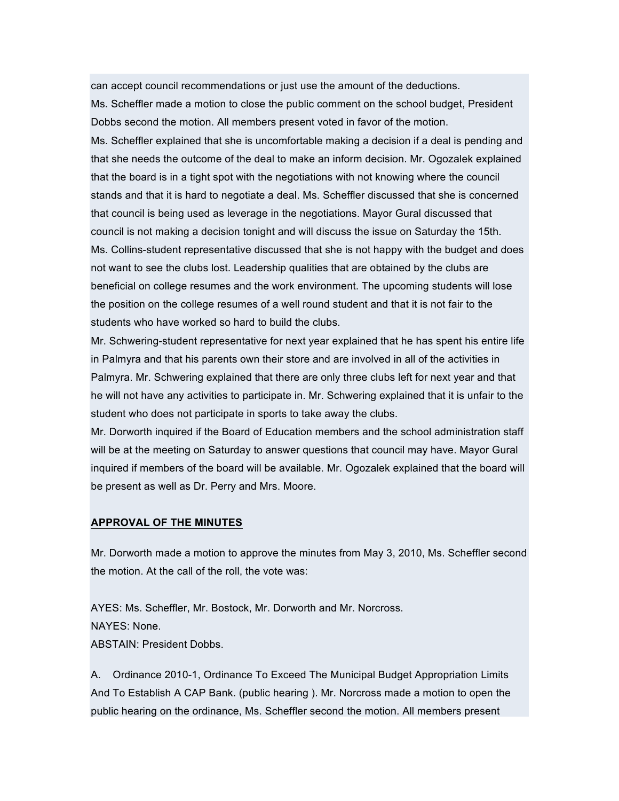can accept council recommendations or just use the amount of the deductions.

Ms. Scheffler made a motion to close the public comment on the school budget, President Dobbs second the motion. All members present voted in favor of the motion.

Ms. Scheffler explained that she is uncomfortable making a decision if a deal is pending and that she needs the outcome of the deal to make an inform decision. Mr. Ogozalek explained that the board is in a tight spot with the negotiations with not knowing where the council stands and that it is hard to negotiate a deal. Ms. Scheffler discussed that she is concerned that council is being used as leverage in the negotiations. Mayor Gural discussed that council is not making a decision tonight and will discuss the issue on Saturday the 15th. Ms. Collins-student representative discussed that she is not happy with the budget and does not want to see the clubs lost. Leadership qualities that are obtained by the clubs are beneficial on college resumes and the work environment. The upcoming students will lose the position on the college resumes of a well round student and that it is not fair to the students who have worked so hard to build the clubs.

Mr. Schwering-student representative for next year explained that he has spent his entire life in Palmyra and that his parents own their store and are involved in all of the activities in Palmyra. Mr. Schwering explained that there are only three clubs left for next year and that he will not have any activities to participate in. Mr. Schwering explained that it is unfair to the student who does not participate in sports to take away the clubs.

Mr. Dorworth inquired if the Board of Education members and the school administration staff will be at the meeting on Saturday to answer questions that council may have. Mayor Gural inquired if members of the board will be available. Mr. Ogozalek explained that the board will be present as well as Dr. Perry and Mrs. Moore.

#### **APPROVAL OF THE MINUTES**

Mr. Dorworth made a motion to approve the minutes from May 3, 2010, Ms. Scheffler second the motion. At the call of the roll, the vote was:

AYES: Ms. Scheffler, Mr. Bostock, Mr. Dorworth and Mr. Norcross. NAYES: None. ABSTAIN: President Dobbs.

A. Ordinance 2010-1, Ordinance To Exceed The Municipal Budget Appropriation Limits And To Establish A CAP Bank. (public hearing ). Mr. Norcross made a motion to open the public hearing on the ordinance, Ms. Scheffler second the motion. All members present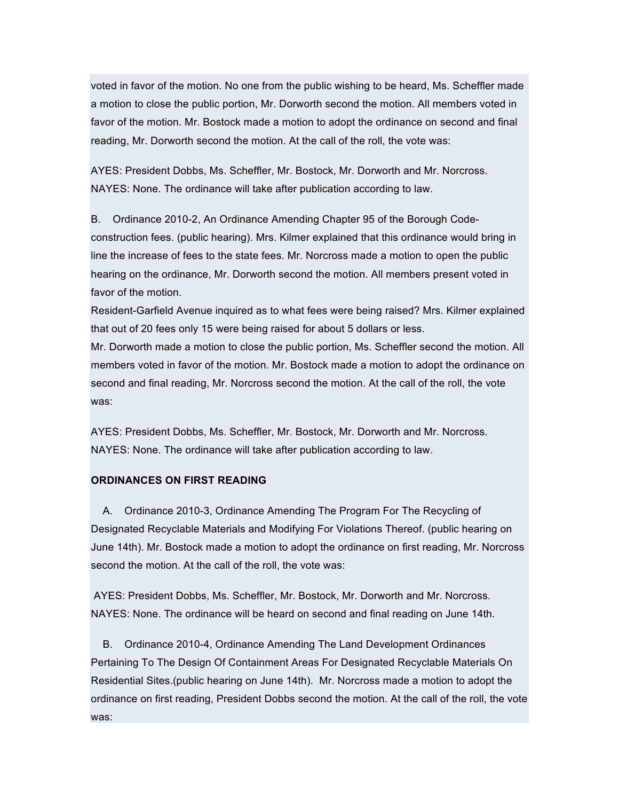voted in favor of the motion. No one from the public wishing to be heard, Ms. Scheffler made a motion to close the public portion, Mr. Dorworth second the motion. All members voted in favor of the motion. Mr. Bostock made a motion to adopt the ordinance on second and final reading, Mr. Dorworth second the motion. At the call of the roll, the vote was:

AYES: President Dobbs, Ms. Scheffler, Mr. Bostock, Mr. Dorworth and Mr. Norcross. NAYES: None. The ordinance will take after publication according to law.

B. Ordinance 2010-2, An Ordinance Amending Chapter 95 of the Borough Codeconstruction fees. (public hearing). Mrs. Kilmer explained that this ordinance would bring in line the increase of fees to the state fees. Mr. Norcross made a motion to open the public hearing on the ordinance, Mr. Dorworth second the motion. All members present voted in favor of the motion.

Resident-Garfield Avenue inquired as to what fees were being raised? Mrs. Kilmer explained that out of 20 fees only 15 were being raised for about 5 dollars or less.

Mr. Dorworth made a motion to close the public portion, Ms. Scheffler second the motion. All members voted in favor of the motion. Mr. Bostock made a motion to adopt the ordinance on second and final reading, Mr. Norcross second the motion. At the call of the roll, the vote was:

AYES: President Dobbs, Ms. Scheffler, Mr. Bostock, Mr. Dorworth and Mr. Norcross. NAYES: None. The ordinance will take after publication according to law.

## **ORDINANCES ON FIRST READING**

A. Ordinance 2010-3, Ordinance Amending The Program For The Recycling of Designated Recyclable Materials and Modifying For Violations Thereof. (public hearing on June 14th). Mr. Bostock made a motion to adopt the ordinance on first reading, Mr. Norcross second the motion. At the call of the roll, the vote was:

AYES: President Dobbs, Ms. Scheffler, Mr. Bostock, Mr. Dorworth and Mr. Norcross. NAYES: None. The ordinance will be heard on second and final reading on June 14th.

B. Ordinance 2010-4, Ordinance Amending The Land Development Ordinances Pertaining To The Design Of Containment Areas For Designated Recyclable Materials On Residential Sites.(public hearing on June 14th). Mr. Norcross made a motion to adopt the ordinance on first reading, President Dobbs second the motion. At the call of the roll, the vote was: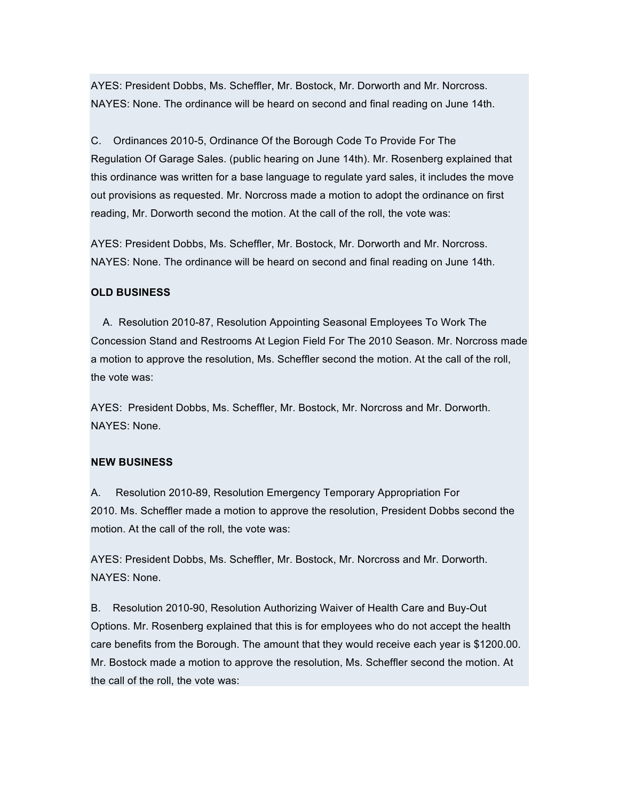AYES: President Dobbs, Ms. Scheffler, Mr. Bostock, Mr. Dorworth and Mr. Norcross. NAYES: None. The ordinance will be heard on second and final reading on June 14th.

C. Ordinances 2010-5, Ordinance Of the Borough Code To Provide For The Regulation Of Garage Sales. (public hearing on June 14th). Mr. Rosenberg explained that this ordinance was written for a base language to regulate yard sales, it includes the move out provisions as requested. Mr. Norcross made a motion to adopt the ordinance on first reading, Mr. Dorworth second the motion. At the call of the roll, the vote was:

AYES: President Dobbs, Ms. Scheffler, Mr. Bostock, Mr. Dorworth and Mr. Norcross. NAYES: None. The ordinance will be heard on second and final reading on June 14th.

#### **OLD BUSINESS**

A. Resolution 2010-87, Resolution Appointing Seasonal Employees To Work The Concession Stand and Restrooms At Legion Field For The 2010 Season. Mr. Norcross made a motion to approve the resolution, Ms. Scheffler second the motion. At the call of the roll, the vote was:

AYES: President Dobbs, Ms. Scheffler, Mr. Bostock, Mr. Norcross and Mr. Dorworth. NAYES: None.

#### **NEW BUSINESS**

A. Resolution 2010-89, Resolution Emergency Temporary Appropriation For 2010. Ms. Scheffler made a motion to approve the resolution, President Dobbs second the motion. At the call of the roll, the vote was:

AYES: President Dobbs, Ms. Scheffler, Mr. Bostock, Mr. Norcross and Mr. Dorworth. NAYES: None.

B. Resolution 2010-90, Resolution Authorizing Waiver of Health Care and Buy-Out Options. Mr. Rosenberg explained that this is for employees who do not accept the health care benefits from the Borough. The amount that they would receive each year is \$1200.00. Mr. Bostock made a motion to approve the resolution, Ms. Scheffler second the motion. At the call of the roll, the vote was: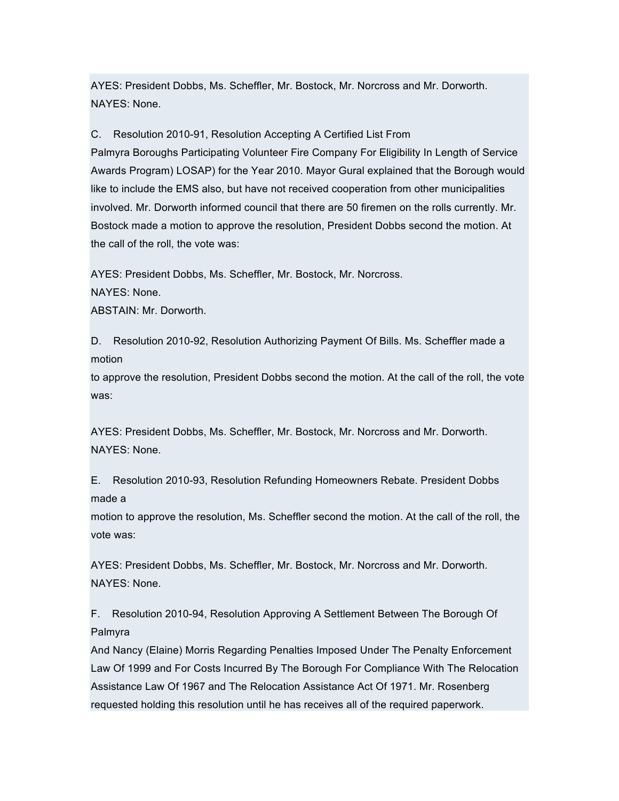AYES: President Dobbs, Ms. Scheffler, Mr. Bostock, Mr. Norcross and Mr. Dorworth. NAYES: None.

C. Resolution 2010-91, Resolution Accepting A Certified List From

Palmyra Boroughs Participating Volunteer Fire Company For Eligibility In Length of Service Awards Program) LOSAP) for the Year 2010. Mayor Gural explained that the Borough would like to include the EMS also, but have not received cooperation from other municipalities involved. Mr. Dorworth informed council that there are 50 firemen on the rolls currently. Mr. Bostock made a motion to approve the resolution, President Dobbs second the motion. At the call of the roll, the vote was:

AYES: President Dobbs, Ms. Scheffler, Mr. Bostock, Mr. Norcross.

NAYES: None.

ABSTAIN: Mr. Dorworth.

D. Resolution 2010-92, Resolution Authorizing Payment Of Bills. Ms. Scheffler made a motion

to approve the resolution, President Dobbs second the motion. At the call of the roll, the vote was:

AYES: President Dobbs, Ms. Scheffler, Mr. Bostock, Mr. Norcross and Mr. Dorworth. NAYES: None.

E. Resolution 2010-93, Resolution Refunding Homeowners Rebate. President Dobbs made a

motion to approve the resolution, Ms. Scheffler second the motion. At the call of the roll, the vote was:

AYES: President Dobbs, Ms. Scheffler, Mr. Bostock, Mr. Norcross and Mr. Dorworth. NAYES: None.

F. Resolution 2010-94, Resolution Approving A Settlement Between The Borough Of Palmyra

And Nancy (Elaine) Morris Regarding Penalties Imposed Under The Penalty Enforcement Law Of 1999 and For Costs Incurred By The Borough For Compliance With The Relocation Assistance Law Of 1967 and The Relocation Assistance Act Of 1971. Mr. Rosenberg requested holding this resolution until he has receives all of the required paperwork.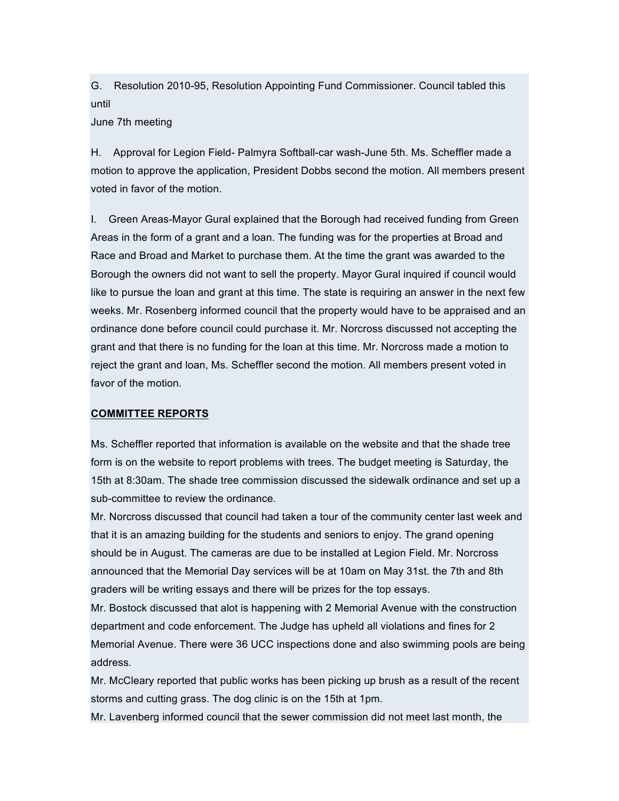G. Resolution 2010-95, Resolution Appointing Fund Commissioner. Council tabled this until

### June 7th meeting

H. Approval for Legion Field- Palmyra Softball-car wash-June 5th. Ms. Scheffler made a motion to approve the application, President Dobbs second the motion. All members present voted in favor of the motion.

I. Green Areas-Mayor Gural explained that the Borough had received funding from Green Areas in the form of a grant and a loan. The funding was for the properties at Broad and Race and Broad and Market to purchase them. At the time the grant was awarded to the Borough the owners did not want to sell the property. Mayor Gural inquired if council would like to pursue the loan and grant at this time. The state is requiring an answer in the next few weeks. Mr. Rosenberg informed council that the property would have to be appraised and an ordinance done before council could purchase it. Mr. Norcross discussed not accepting the grant and that there is no funding for the loan at this time. Mr. Norcross made a motion to reject the grant and loan, Ms. Scheffler second the motion. All members present voted in favor of the motion.

#### **COMMITTEE REPORTS**

Ms. Scheffler reported that information is available on the website and that the shade tree form is on the website to report problems with trees. The budget meeting is Saturday, the 15th at 8:30am. The shade tree commission discussed the sidewalk ordinance and set up a sub-committee to review the ordinance.

Mr. Norcross discussed that council had taken a tour of the community center last week and that it is an amazing building for the students and seniors to enjoy. The grand opening should be in August. The cameras are due to be installed at Legion Field. Mr. Norcross announced that the Memorial Day services will be at 10am on May 31st. the 7th and 8th graders will be writing essays and there will be prizes for the top essays.

Mr. Bostock discussed that alot is happening with 2 Memorial Avenue with the construction department and code enforcement. The Judge has upheld all violations and fines for 2 Memorial Avenue. There were 36 UCC inspections done and also swimming pools are being address.

Mr. McCleary reported that public works has been picking up brush as a result of the recent storms and cutting grass. The dog clinic is on the 15th at 1pm.

Mr. Lavenberg informed council that the sewer commission did not meet last month, the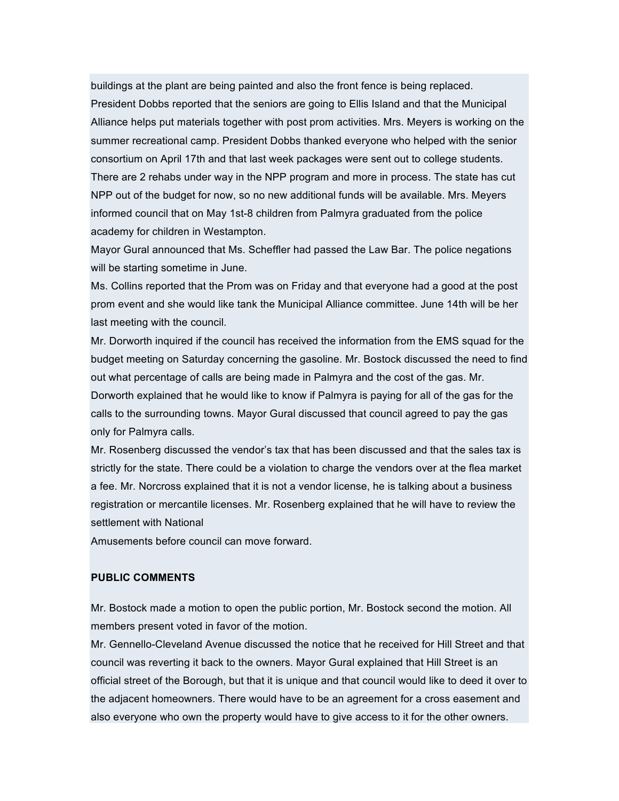buildings at the plant are being painted and also the front fence is being replaced. President Dobbs reported that the seniors are going to Ellis Island and that the Municipal Alliance helps put materials together with post prom activities. Mrs. Meyers is working on the summer recreational camp. President Dobbs thanked everyone who helped with the senior consortium on April 17th and that last week packages were sent out to college students. There are 2 rehabs under way in the NPP program and more in process. The state has cut NPP out of the budget for now, so no new additional funds will be available. Mrs. Meyers informed council that on May 1st-8 children from Palmyra graduated from the police academy for children in Westampton.

Mayor Gural announced that Ms. Scheffler had passed the Law Bar. The police negations will be starting sometime in June.

Ms. Collins reported that the Prom was on Friday and that everyone had a good at the post prom event and she would like tank the Municipal Alliance committee. June 14th will be her last meeting with the council.

Mr. Dorworth inquired if the council has received the information from the EMS squad for the budget meeting on Saturday concerning the gasoline. Mr. Bostock discussed the need to find out what percentage of calls are being made in Palmyra and the cost of the gas. Mr. Dorworth explained that he would like to know if Palmyra is paying for all of the gas for the calls to the surrounding towns. Mayor Gural discussed that council agreed to pay the gas only for Palmyra calls.

Mr. Rosenberg discussed the vendor's tax that has been discussed and that the sales tax is strictly for the state. There could be a violation to charge the vendors over at the flea market a fee. Mr. Norcross explained that it is not a vendor license, he is talking about a business registration or mercantile licenses. Mr. Rosenberg explained that he will have to review the settlement with National

Amusements before council can move forward.

#### **PUBLIC COMMENTS**

Mr. Bostock made a motion to open the public portion, Mr. Bostock second the motion. All members present voted in favor of the motion.

Mr. Gennello-Cleveland Avenue discussed the notice that he received for Hill Street and that council was reverting it back to the owners. Mayor Gural explained that Hill Street is an official street of the Borough, but that it is unique and that council would like to deed it over to the adjacent homeowners. There would have to be an agreement for a cross easement and also everyone who own the property would have to give access to it for the other owners.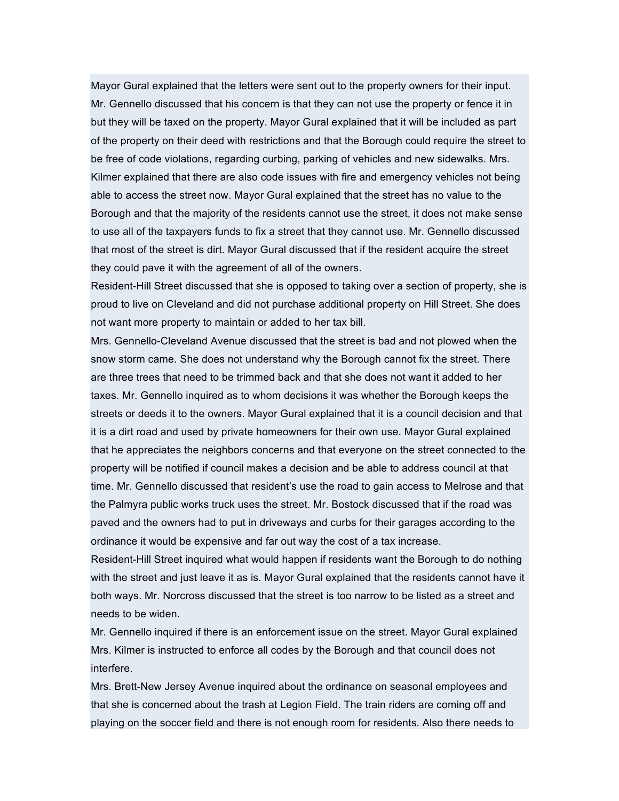Mayor Gural explained that the letters were sent out to the property owners for their input. Mr. Gennello discussed that his concern is that they can not use the property or fence it in but they will be taxed on the property. Mayor Gural explained that it will be included as part of the property on their deed with restrictions and that the Borough could require the street to be free of code violations, regarding curbing, parking of vehicles and new sidewalks. Mrs. Kilmer explained that there are also code issues with fire and emergency vehicles not being able to access the street now. Mayor Gural explained that the street has no value to the Borough and that the majority of the residents cannot use the street, it does not make sense to use all of the taxpayers funds to fix a street that they cannot use. Mr. Gennello discussed that most of the street is dirt. Mayor Gural discussed that if the resident acquire the street they could pave it with the agreement of all of the owners.

Resident-Hill Street discussed that she is opposed to taking over a section of property, she is proud to live on Cleveland and did not purchase additional property on Hill Street. She does not want more property to maintain or added to her tax bill.

Mrs. Gennello-Cleveland Avenue discussed that the street is bad and not plowed when the snow storm came. She does not understand why the Borough cannot fix the street. There are three trees that need to be trimmed back and that she does not want it added to her taxes. Mr. Gennello inquired as to whom decisions it was whether the Borough keeps the streets or deeds it to the owners. Mayor Gural explained that it is a council decision and that it is a dirt road and used by private homeowners for their own use. Mayor Gural explained that he appreciates the neighbors concerns and that everyone on the street connected to the property will be notified if council makes a decision and be able to address council at that time. Mr. Gennello discussed that resident's use the road to gain access to Melrose and that the Palmyra public works truck uses the street. Mr. Bostock discussed that if the road was paved and the owners had to put in driveways and curbs for their garages according to the ordinance it would be expensive and far out way the cost of a tax increase.

Resident-Hill Street inquired what would happen if residents want the Borough to do nothing with the street and just leave it as is. Mayor Gural explained that the residents cannot have it both ways. Mr. Norcross discussed that the street is too narrow to be listed as a street and needs to be widen.

Mr. Gennello inquired if there is an enforcement issue on the street. Mayor Gural explained Mrs. Kilmer is instructed to enforce all codes by the Borough and that council does not interfere.

Mrs. Brett-New Jersey Avenue inquired about the ordinance on seasonal employees and that she is concerned about the trash at Legion Field. The train riders are coming off and playing on the soccer field and there is not enough room for residents. Also there needs to